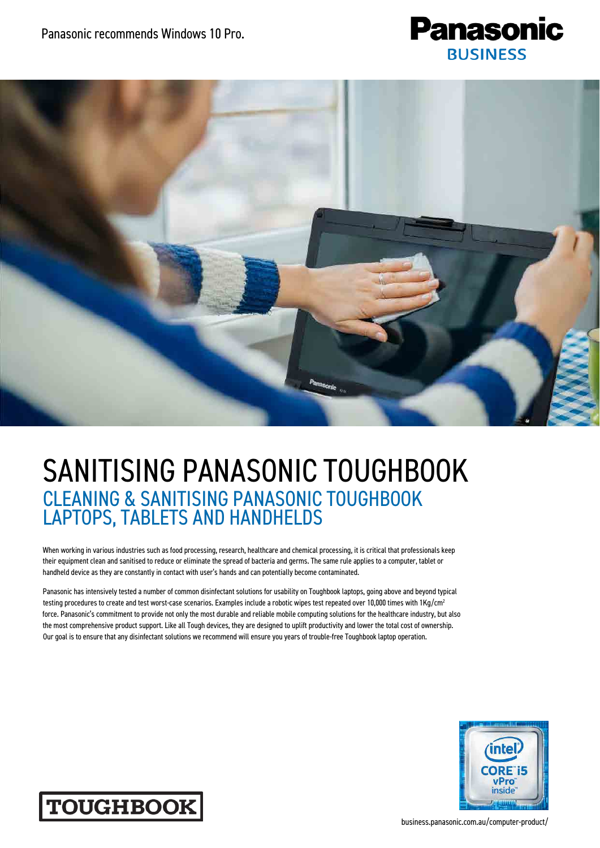



## SANITISING PANASONIC TOUGHBOOK CLEANING & SANITISING PANASONIC TOUGHBOOK LAPTOPS, TABLETS AND HANDHELDS

When working in various industries such as food processing, research, healthcare and chemical processing, it is critical that professionals keep their equipment clean and sanitised to reduce or eliminate the spread of bacteria and germs. The same rule applies to a computer, tablet or handheld device as they are constantly in contact with user's hands and can potentially become contaminated.

Panasonic has intensively tested a number of common disinfectant solutions for usability on Toughbook laptops, going above and beyond typical testing procedures to create and test worst-case scenarios. Examples include a robotic wipes test repeated over 10,000 times with 1Kg/cm<sup>2</sup> force. Panasonic's commitment to provide not only the most durable and reliable mobile computing solutions for the healthcare industry, but also the most comprehensive product support. Like all Tough devices, they are designed to uplift productivity and lower the total cost of ownership. Our goal is to ensure that any disinfectant solutions we recommend will ensure you years of trouble-free Toughbook laptop operation.





business.panasonic.com.au/computer-product/